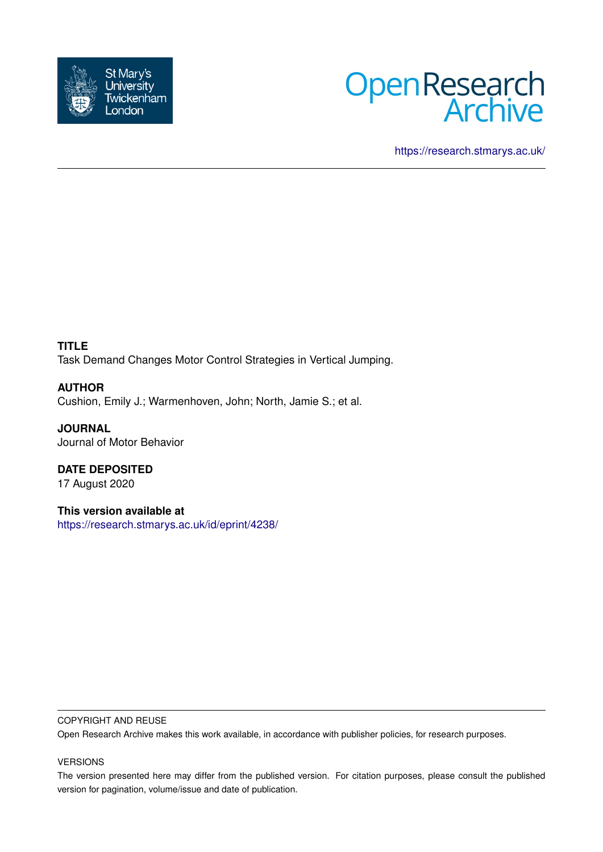



<https://research.stmarys.ac.uk/>

**TITLE** Task Demand Changes Motor Control Strategies in Vertical Jumping.

**AUTHOR** Cushion, Emily J.; Warmenhoven, John; North, Jamie S.; et al.

**JOURNAL** Journal of Motor Behavior

**DATE DEPOSITED** 17 August 2020

**This version available at** <https://research.stmarys.ac.uk/id/eprint/4238/>

## COPYRIGHT AND REUSE

Open Research Archive makes this work available, in accordance with publisher policies, for research purposes.

## VERSIONS

The version presented here may differ from the published version. For citation purposes, please consult the published version for pagination, volume/issue and date of publication.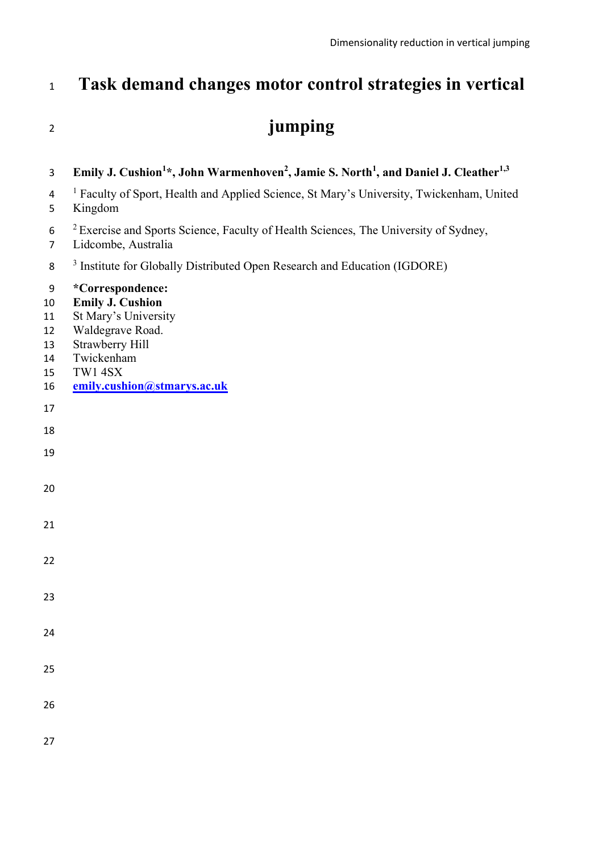# **Task demand changes motor control strategies in vertical**

# **jumping**

# **Emily J. Cushion<sup>1</sup> \*, John Warmenhoven<sup>2</sup> , Jamie S. North<sup>1</sup> , and Daniel J. Cleather1,3**

- <sup>1</sup> Faculty of Sport, Health and Applied Science, St Mary's University, Twickenham, United Kingdom
- <sup>2</sup> Exercise and Sports Science, Faculty of Health Sciences, The University of Sydney,
- Lidcombe, Australia
- <sup>3</sup> Institute for Globally Distributed Open Research and Education (IGDORE)

# **\*Correspondence:**

# **Emily J. Cushion**

- St Mary's University
- Waldegrave Road.
- Strawberry Hill
- Twickenham
- TW1 4SX
- **[emily.cushion@stmarys.ac.uk](mailto:emily.cushion@stmarys.ac.uk)**
- 
- 
- 
- 
- 
- 
- 
- 
- 
- 
- 
- 
- 
- 
-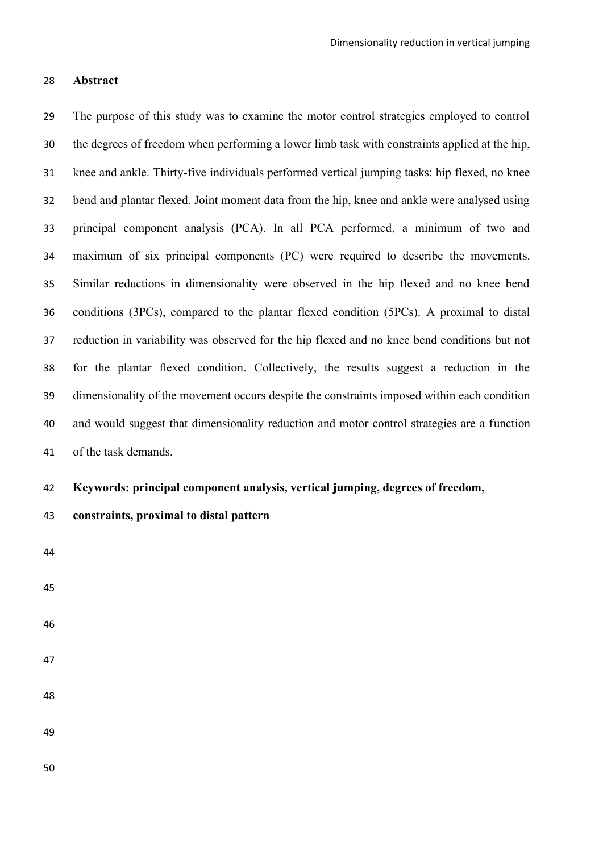## **Abstract**

 The purpose of this study was to examine the motor control strategies employed to control the degrees of freedom when performing a lower limb task with constraints applied at the hip, knee and ankle. Thirty-five individuals performed vertical jumping tasks: hip flexed, no knee bend and plantar flexed. Joint moment data from the hip, knee and ankle were analysed using principal component analysis (PCA). In all PCA performed, a minimum of two and maximum of six principal components (PC) were required to describe the movements. Similar reductions in dimensionality were observed in the hip flexed and no knee bend conditions (3PCs), compared to the plantar flexed condition (5PCs). A proximal to distal reduction in variability was observed for the hip flexed and no knee bend conditions but not for the plantar flexed condition. Collectively, the results suggest a reduction in the dimensionality of the movement occurs despite the constraints imposed within each condition and would suggest that dimensionality reduction and motor control strategies are a function of the task demands.

- **Keywords: principal component analysis, vertical jumping, degrees of freedom,**
- **constraints, proximal to distal pattern**
- 
- 
- 
- 
- 
-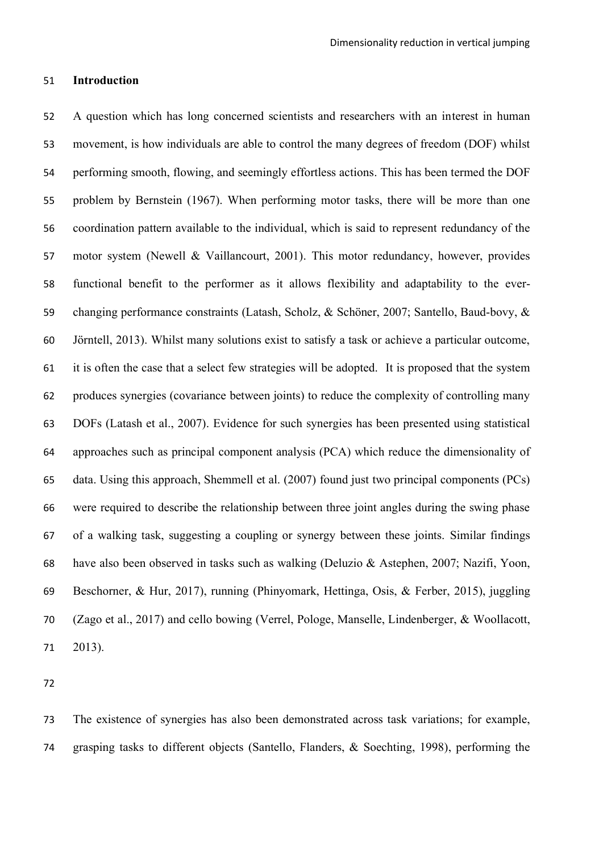#### **Introduction**

 A question which has long concerned scientists and researchers with an interest in human movement, is how individuals are able to control the many degrees of freedom (DOF) whilst performing smooth, flowing, and seemingly effortless actions. This has been termed the DOF problem by Bernstein (1967). When performing motor tasks, there will be more than one coordination pattern available to the individual, which is said to represent redundancy of the motor system (Newell & Vaillancourt, 2001). This motor redundancy, however, provides functional benefit to the performer as it allows flexibility and adaptability to the ever- changing performance constraints (Latash, Scholz, & Schöner, 2007; Santello, Baud-bovy, & Jörntell, 2013). Whilst many solutions exist to satisfy a task or achieve a particular outcome, it is often the case that a select few strategies will be adopted. It is proposed that the system produces synergies (covariance between joints) to reduce the complexity of controlling many DOFs (Latash et al., 2007). Evidence for such synergies has been presented using statistical approaches such as principal component analysis (PCA) which reduce the dimensionality of data. Using this approach, Shemmell et al. (2007) found just two principal components (PCs) were required to describe the relationship between three joint angles during the swing phase of a walking task, suggesting a coupling or synergy between these joints. Similar findings have also been observed in tasks such as walking (Deluzio & Astephen, 2007; Nazifi, Yoon, Beschorner, & Hur, 2017), running (Phinyomark, Hettinga, Osis, & Ferber, 2015), juggling (Zago et al., 2017) and cello bowing (Verrel, Pologe, Manselle, Lindenberger, & Woollacott, 2013).

 The existence of synergies has also been demonstrated across task variations; for example, grasping tasks to different objects (Santello, Flanders, & Soechting, 1998), performing the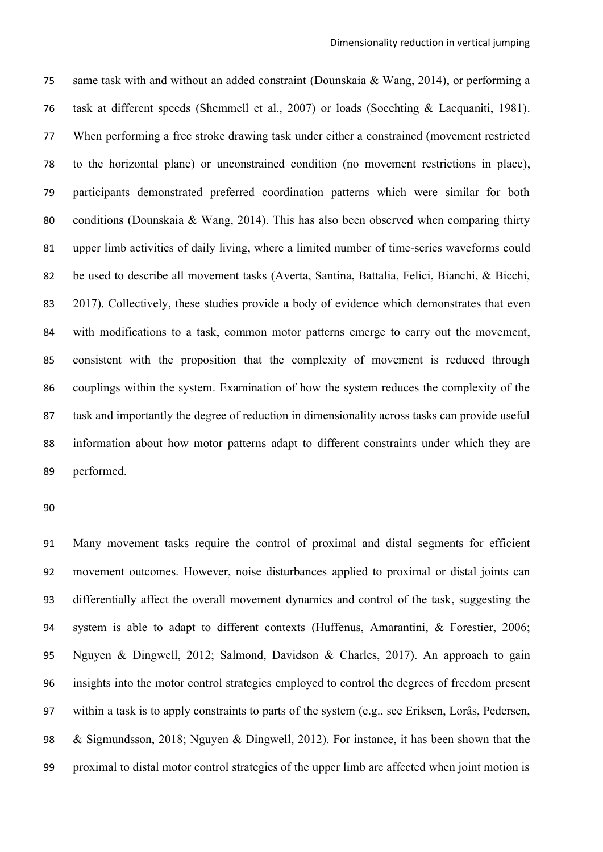same task with and without an added constraint (Dounskaia & Wang, 2014), or performing a task at different speeds (Shemmell et al., 2007) or loads (Soechting & Lacquaniti, 1981). When performing a free stroke drawing task under either a constrained (movement restricted to the horizontal plane) or unconstrained condition (no movement restrictions in place), participants demonstrated preferred coordination patterns which were similar for both conditions (Dounskaia & Wang, 2014). This has also been observed when comparing thirty upper limb activities of daily living, where a limited number of time-series waveforms could be used to describe all movement tasks (Averta, Santina, Battalia, Felici, Bianchi, & Bicchi, 2017). Collectively, these studies provide a body of evidence which demonstrates that even with modifications to a task, common motor patterns emerge to carry out the movement, consistent with the proposition that the complexity of movement is reduced through couplings within the system. Examination of how the system reduces the complexity of the task and importantly the degree of reduction in dimensionality across tasks can provide useful information about how motor patterns adapt to different constraints under which they are performed.

 Many movement tasks require the control of proximal and distal segments for efficient movement outcomes. However, noise disturbances applied to proximal or distal joints can differentially affect the overall movement dynamics and control of the task, suggesting the system is able to adapt to different contexts (Huffenus, Amarantini, & Forestier, 2006; Nguyen & Dingwell, 2012; Salmond, Davidson & Charles, 2017). An approach to gain insights into the motor control strategies employed to control the degrees of freedom present within a task is to apply constraints to parts of the system (e.g., see Eriksen, Lorås, Pedersen, & Sigmundsson, 2018; Nguyen & Dingwell, 2012). For instance, it has been shown that the proximal to distal motor control strategies of the upper limb are affected when joint motion is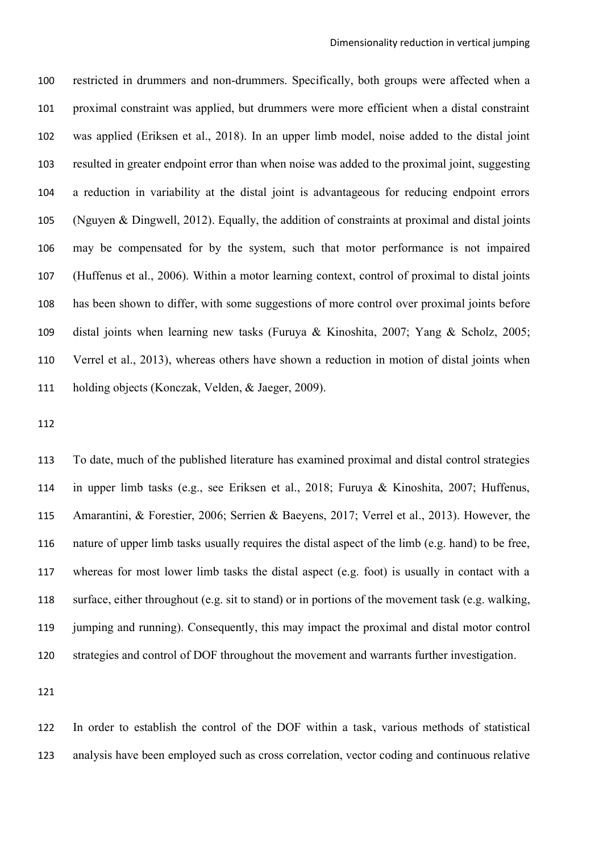restricted in drummers and non-drummers. Specifically, both groups were affected when a proximal constraint was applied, but drummers were more efficient when a distal constraint was applied (Eriksen et al., 2018). In an upper limb model, noise added to the distal joint resulted in greater endpoint error than when noise was added to the proximal joint, suggesting a reduction in variability at the distal joint is advantageous for reducing endpoint errors (Nguyen & Dingwell, 2012). Equally, the addition of constraints at proximal and distal joints may be compensated for by the system, such that motor performance is not impaired (Huffenus et al., 2006). Within a motor learning context, control of proximal to distal joints has been shown to differ, with some suggestions of more control over proximal joints before distal joints when learning new tasks (Furuya & Kinoshita, 2007; Yang & Scholz, 2005; Verrel et al., 2013), whereas others have shown a reduction in motion of distal joints when holding objects (Konczak, Velden, & Jaeger, 2009).

 To date, much of the published literature has examined proximal and distal control strategies in upper limb tasks (e.g., see Eriksen et al., 2018; Furuya & Kinoshita, 2007; Huffenus, Amarantini, & Forestier, 2006; Serrien & Baeyens, 2017; Verrel et al., 2013). However, the nature of upper limb tasks usually requires the distal aspect of the limb (e.g. hand) to be free, whereas for most lower limb tasks the distal aspect (e.g. foot) is usually in contact with a surface, either throughout (e.g. sit to stand) or in portions of the movement task (e.g. walking, jumping and running). Consequently, this may impact the proximal and distal motor control strategies and control of DOF throughout the movement and warrants further investigation.

 In order to establish the control of the DOF within a task, various methods of statistical analysis have been employed such as cross correlation, vector coding and continuous relative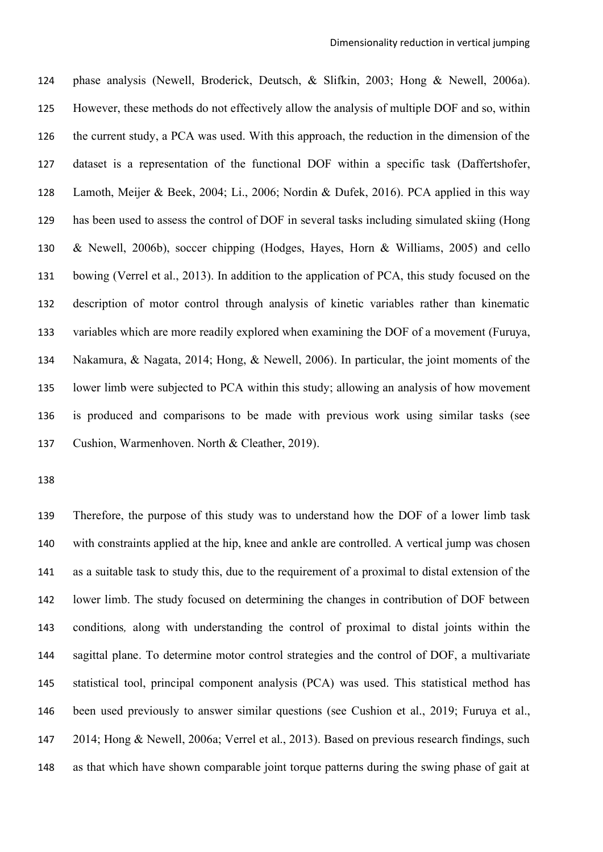phase analysis (Newell, Broderick, Deutsch, & Slifkin, 2003; Hong & Newell, 2006a). However, these methods do not effectively allow the analysis of multiple DOF and so, within the current study, a PCA was used. With this approach, the reduction in the dimension of the dataset is a representation of the functional DOF within a specific task (Daffertshofer, Lamoth, Meijer & Beek, 2004; Li., 2006; Nordin & Dufek, 2016). PCA applied in this way has been used to assess the control of DOF in several tasks including simulated skiing (Hong & Newell, 2006b), soccer chipping (Hodges, Hayes, Horn & Williams, 2005) and cello bowing (Verrel et al., 2013). In addition to the application of PCA, this study focused on the description of motor control through analysis of kinetic variables rather than kinematic variables which are more readily explored when examining the DOF of a movement (Furuya, Nakamura, & Nagata, 2014; Hong, & Newell, 2006). In particular, the joint moments of the lower limb were subjected to PCA within this study; allowing an analysis of how movement is produced and comparisons to be made with previous work using similar tasks (see Cushion, Warmenhoven. North & Cleather, 2019).

 Therefore, the purpose of this study was to understand how the DOF of a lower limb task with constraints applied at the hip, knee and ankle are controlled. A vertical jump was chosen as a suitable task to study this, due to the requirement of a proximal to distal extension of the lower limb. The study focused on determining the changes in contribution of DOF between conditions*,* along with understanding the control of proximal to distal joints within the sagittal plane. To determine motor control strategies and the control of DOF, a multivariate statistical tool, principal component analysis (PCA) was used. This statistical method has been used previously to answer similar questions (see Cushion et al., 2019; Furuya et al., 2014; Hong & Newell, 2006a; Verrel et al., 2013). Based on previous research findings, such as that which have shown comparable joint torque patterns during the swing phase of gait at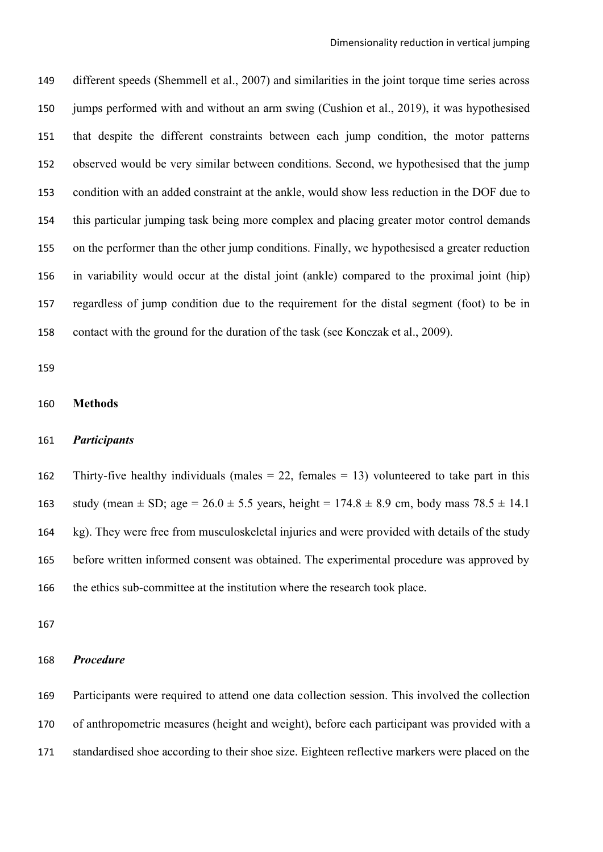different speeds (Shemmell et al., 2007) and similarities in the joint torque time series across jumps performed with and without an arm swing (Cushion et al., 2019), it was hypothesised that despite the different constraints between each jump condition, the motor patterns observed would be very similar between conditions. Second, we hypothesised that the jump condition with an added constraint at the ankle, would show less reduction in the DOF due to this particular jumping task being more complex and placing greater motor control demands on the performer than the other jump conditions. Finally, we hypothesised a greater reduction in variability would occur at the distal joint (ankle) compared to the proximal joint (hip) regardless of jump condition due to the requirement for the distal segment (foot) to be in contact with the ground for the duration of the task (see Konczak et al., 2009).

#### **Methods**

### *Participants*

162 Thirty-five healthy individuals (males  $= 22$ , females  $= 13$ ) volunteered to take part in this 163 study (mean  $\pm$  SD; age = 26.0  $\pm$  5.5 years, height = 174.8  $\pm$  8.9 cm, body mass 78.5  $\pm$  14.1 kg). They were free from musculoskeletal injuries and were provided with details of the study before written informed consent was obtained. The experimental procedure was approved by the ethics sub-committee at the institution where the research took place.

# *Procedure*

 Participants were required to attend one data collection session. This involved the collection of anthropometric measures (height and weight), before each participant was provided with a standardised shoe according to their shoe size. Eighteen reflective markers were placed on the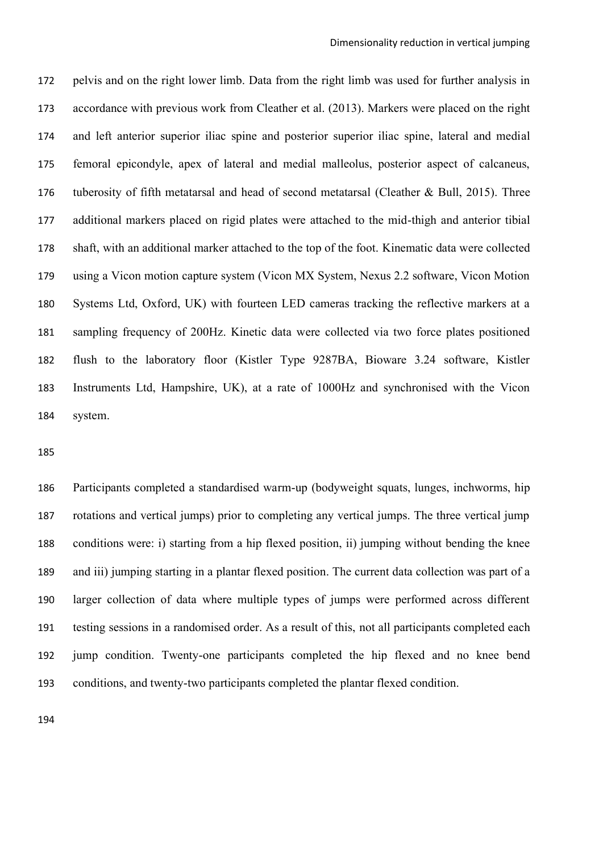pelvis and on the right lower limb. Data from the right limb was used for further analysis in accordance with previous work from Cleather et al. (2013). Markers were placed on the right and left anterior superior iliac spine and posterior superior iliac spine, lateral and medial femoral epicondyle, apex of lateral and medial malleolus, posterior aspect of calcaneus, tuberosity of fifth metatarsal and head of second metatarsal (Cleather & Bull, 2015). Three additional markers placed on rigid plates were attached to the mid-thigh and anterior tibial shaft, with an additional marker attached to the top of the foot. Kinematic data were collected using a Vicon motion capture system (Vicon MX System, Nexus 2.2 software, Vicon Motion Systems Ltd, Oxford, UK) with fourteen LED cameras tracking the reflective markers at a sampling frequency of 200Hz. Kinetic data were collected via two force plates positioned flush to the laboratory floor (Kistler Type 9287BA, Bioware 3.24 software, Kistler Instruments Ltd, Hampshire, UK), at a rate of 1000Hz and synchronised with the Vicon system.

 Participants completed a standardised warm-up (bodyweight squats, lunges, inchworms, hip rotations and vertical jumps) prior to completing any vertical jumps. The three vertical jump conditions were: i) starting from a hip flexed position, ii) jumping without bending the knee and iii) jumping starting in a plantar flexed position. The current data collection was part of a larger collection of data where multiple types of jumps were performed across different testing sessions in a randomised order. As a result of this, not all participants completed each jump condition. Twenty-one participants completed the hip flexed and no knee bend conditions, and twenty-two participants completed the plantar flexed condition.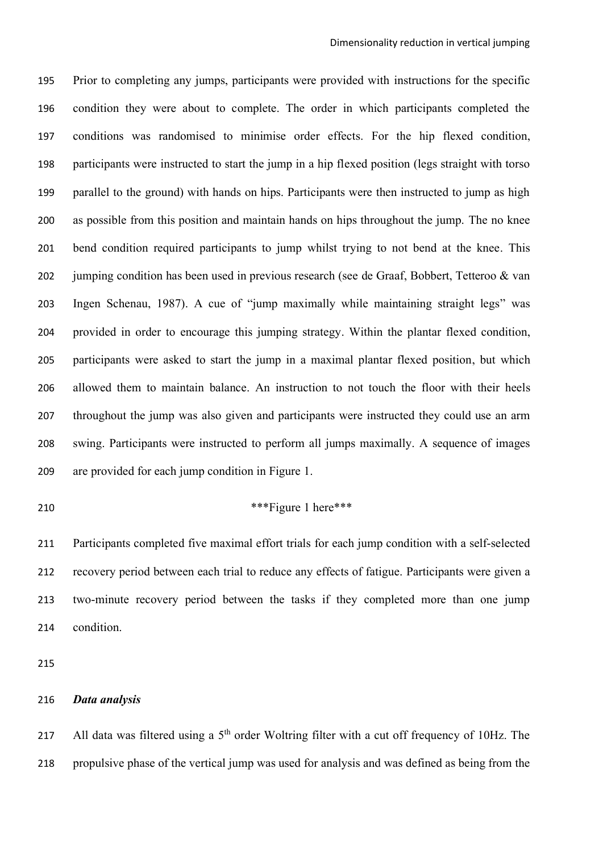Prior to completing any jumps, participants were provided with instructions for the specific condition they were about to complete. The order in which participants completed the conditions was randomised to minimise order effects. For the hip flexed condition, participants were instructed to start the jump in a hip flexed position (legs straight with torso parallel to the ground) with hands on hips. Participants were then instructed to jump as high as possible from this position and maintain hands on hips throughout the jump. The no knee bend condition required participants to jump whilst trying to not bend at the knee. This jumping condition has been used in previous research (see de Graaf, Bobbert, Tetteroo & van Ingen Schenau, 1987). A cue of "jump maximally while maintaining straight legs" was provided in order to encourage this jumping strategy. Within the plantar flexed condition, participants were asked to start the jump in a maximal plantar flexed position, but which allowed them to maintain balance. An instruction to not touch the floor with their heels throughout the jump was also given and participants were instructed they could use an arm swing. Participants were instructed to perform all jumps maximally. A sequence of images are provided for each jump condition in Figure 1.

# \*\*\*Figure 1 here\*\*\*

 Participants completed five maximal effort trials for each jump condition with a self-selected recovery period between each trial to reduce any effects of fatigue. Participants were given a two-minute recovery period between the tasks if they completed more than one jump condition.

# *Data analysis*

217 All data was filtered using a  $5<sup>th</sup>$  order Woltring filter with a cut off frequency of 10Hz. The propulsive phase of the vertical jump was used for analysis and was defined as being from the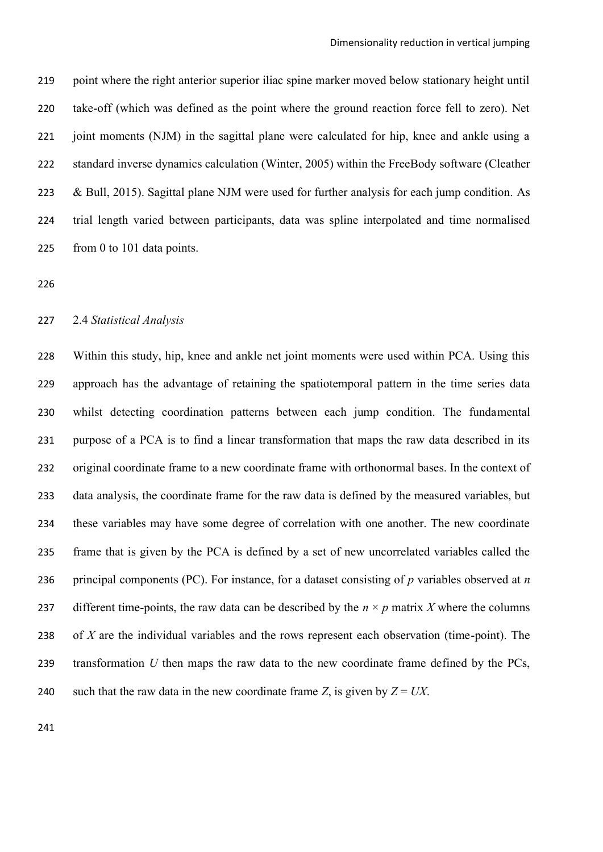point where the right anterior superior iliac spine marker moved below stationary height until take-off (which was defined as the point where the ground reaction force fell to zero). Net joint moments (NJM) in the sagittal plane were calculated for hip, knee and ankle using a standard inverse dynamics calculation (Winter, 2005) within the FreeBody software (Cleather & Bull, 2015). Sagittal plane NJM were used for further analysis for each jump condition. As trial length varied between participants, data was spline interpolated and time normalised from 0 to 101 data points.

#### 2.4 *Statistical Analysis*

 Within this study, hip, knee and ankle net joint moments were used within PCA. Using this approach has the advantage of retaining the spatiotemporal pattern in the time series data whilst detecting coordination patterns between each jump condition. The fundamental purpose of a PCA is to find a linear transformation that maps the raw data described in its original coordinate frame to a new coordinate frame with orthonormal bases. In the context of data analysis, the coordinate frame for the raw data is defined by the measured variables, but these variables may have some degree of correlation with one another. The new coordinate frame that is given by the PCA is defined by a set of new uncorrelated variables called the principal components (PC). For instance, for a dataset consisting of *p* variables observed at *n* 237 different time-points, the raw data can be described by the  $n \times p$  matrix *X* where the columns of *X* are the individual variables and the rows represent each observation (time-point). The transformation *U* then maps the raw data to the new coordinate frame defined by the PCs, 240 such that the raw data in the new coordinate frame *Z*, is given by  $Z = UX$ .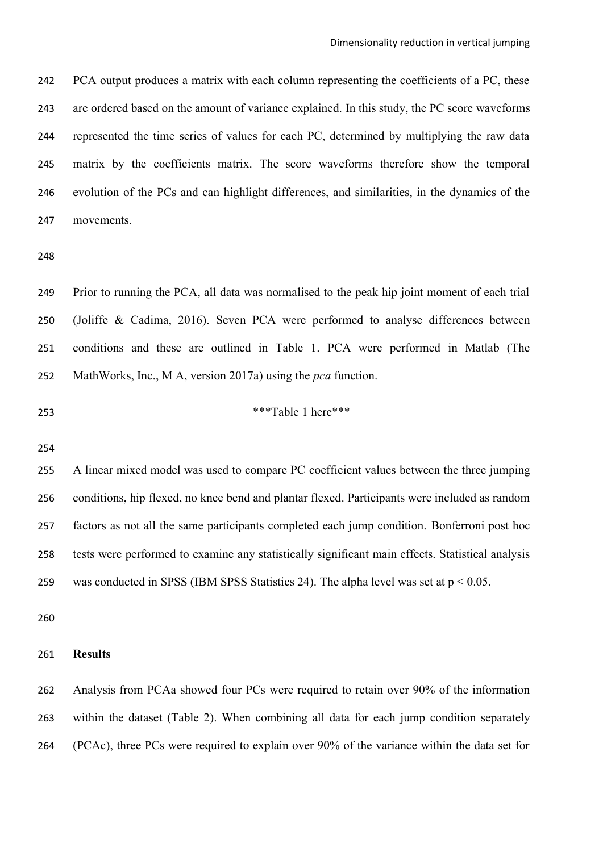242 PCA output produces a matrix with each column representing the coefficients of a PC, these are ordered based on the amount of variance explained. In this study, the PC score waveforms represented the time series of values for each PC, determined by multiplying the raw data matrix by the coefficients matrix. The score waveforms therefore show the temporal evolution of the PCs and can highlight differences, and similarities, in the dynamics of the movements.

 Prior to running the PCA, all data was normalised to the peak hip joint moment of each trial (Joliffe & Cadima, 2016). Seven PCA were performed to analyse differences between conditions and these are outlined in Table 1. PCA were performed in Matlab (The MathWorks, Inc., M A, version 2017a) using the *pca* function.

- \*\*\*Table 1 here\*\*\*
- 

 A linear mixed model was used to compare PC coefficient values between the three jumping conditions, hip flexed, no knee bend and plantar flexed. Participants were included as random factors as not all the same participants completed each jump condition. Bonferroni post hoc tests were performed to examine any statistically significant main effects. Statistical analysis 259 was conducted in SPSS (IBM SPSS Statistics 24). The alpha level was set at  $p < 0.05$ .

### **Results**

 Analysis from PCAa showed four PCs were required to retain over 90% of the information within the dataset (Table 2). When combining all data for each jump condition separately (PCAc), three PCs were required to explain over 90% of the variance within the data set for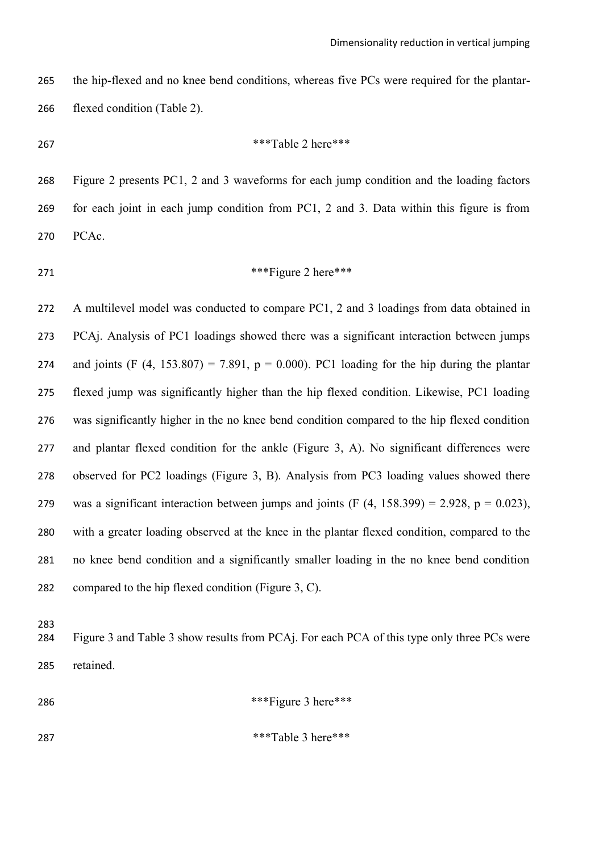the hip-flexed and no knee bend conditions, whereas five PCs were required for the plantar-flexed condition (Table 2).

# \*\*\*Table 2 here\*\*\*

 Figure 2 presents PC1, 2 and 3 waveforms for each jump condition and the loading factors for each joint in each jump condition from PC1, 2 and 3. Data within this figure is from PCAc.

271 \*\*\*Figure 2 here\*\*\*

 A multilevel model was conducted to compare PC1, 2 and 3 loadings from data obtained in PCAj. Analysis of PC1 loadings showed there was a significant interaction between jumps 274 and joints (F  $(4, 153.807) = 7.891$ ,  $p = 0.000$ ). PC1 loading for the hip during the plantar flexed jump was significantly higher than the hip flexed condition. Likewise, PC1 loading was significantly higher in the no knee bend condition compared to the hip flexed condition and plantar flexed condition for the ankle (Figure 3, A). No significant differences were observed for PC2 loadings (Figure 3, B). Analysis from PC3 loading values showed there 279 was a significant interaction between jumps and joints  $(F (4, 158.399) = 2.928, p = 0.023)$ , with a greater loading observed at the knee in the plantar flexed condition, compared to the no knee bend condition and a significantly smaller loading in the no knee bend condition compared to the hip flexed condition (Figure 3, C).

 Figure 3 and Table 3 show results from PCAj. For each PCA of this type only three PCs were retained.

\*\*\*Figure 3 here\*\*\*

\*\*\*Table 3 here\*\*\*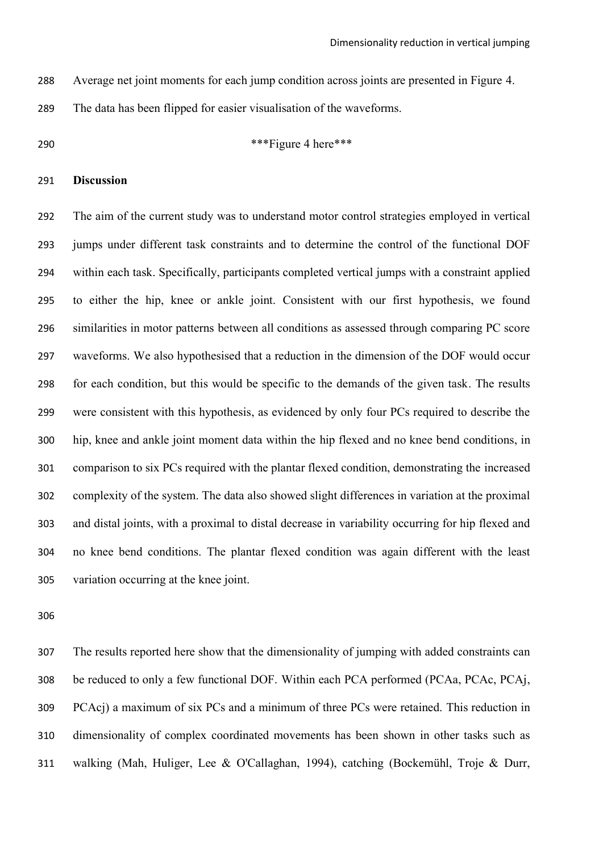Average net joint moments for each jump condition across joints are presented in Figure 4.

The data has been flipped for easier visualisation of the waveforms.

\*\*\*Figure 4 here\*\*\*

### **Discussion**

 The aim of the current study was to understand motor control strategies employed in vertical jumps under different task constraints and to determine the control of the functional DOF within each task. Specifically, participants completed vertical jumps with a constraint applied to either the hip, knee or ankle joint. Consistent with our first hypothesis, we found similarities in motor patterns between all conditions as assessed through comparing PC score waveforms. We also hypothesised that a reduction in the dimension of the DOF would occur for each condition, but this would be specific to the demands of the given task. The results were consistent with this hypothesis, as evidenced by only four PCs required to describe the hip, knee and ankle joint moment data within the hip flexed and no knee bend conditions, in comparison to six PCs required with the plantar flexed condition, demonstrating the increased complexity of the system. The data also showed slight differences in variation at the proximal and distal joints, with a proximal to distal decrease in variability occurring for hip flexed and no knee bend conditions. The plantar flexed condition was again different with the least variation occurring at the knee joint.

 The results reported here show that the dimensionality of jumping with added constraints can be reduced to only a few functional DOF. Within each PCA performed (PCAa, PCAc, PCAj, PCAcj) a maximum of six PCs and a minimum of three PCs were retained. This reduction in dimensionality of complex coordinated movements has been shown in other tasks such as walking (Mah, Huliger, Lee & O'Callaghan, 1994), catching (Bockemühl, Troje & Durr,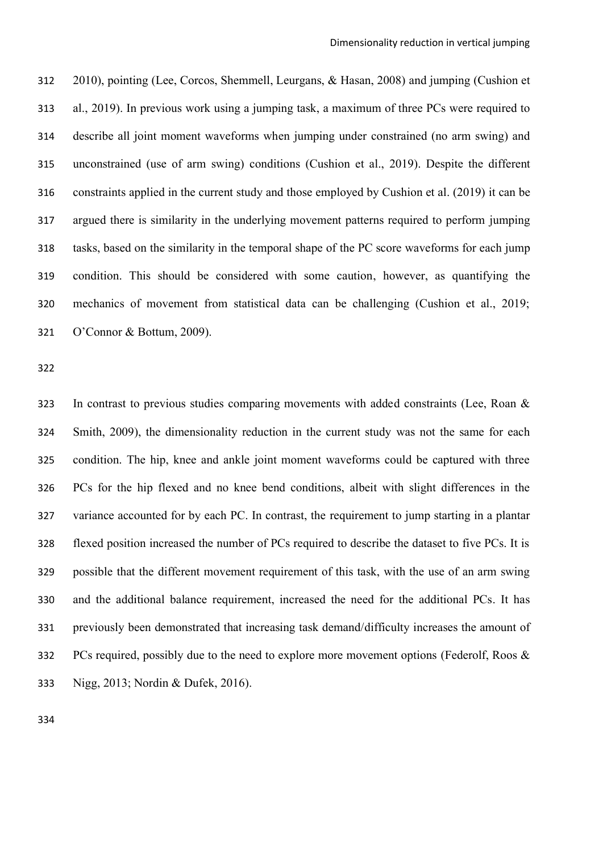2010), pointing (Lee, Corcos, Shemmell, Leurgans, & Hasan, 2008) and jumping (Cushion et al., 2019). In previous work using a jumping task, a maximum of three PCs were required to describe all joint moment waveforms when jumping under constrained (no arm swing) and unconstrained (use of arm swing) conditions (Cushion et al., 2019). Despite the different constraints applied in the current study and those employed by Cushion et al. (2019) it can be argued there is similarity in the underlying movement patterns required to perform jumping tasks, based on the similarity in the temporal shape of the PC score waveforms for each jump condition. This should be considered with some caution, however, as quantifying the mechanics of movement from statistical data can be challenging (Cushion et al., 2019; O'Connor & Bottum, 2009).

 In contrast to previous studies comparing movements with added constraints (Lee, Roan & Smith, 2009), the dimensionality reduction in the current study was not the same for each condition. The hip, knee and ankle joint moment waveforms could be captured with three PCs for the hip flexed and no knee bend conditions, albeit with slight differences in the variance accounted for by each PC. In contrast, the requirement to jump starting in a plantar flexed position increased the number of PCs required to describe the dataset to five PCs. It is possible that the different movement requirement of this task, with the use of an arm swing and the additional balance requirement, increased the need for the additional PCs. It has previously been demonstrated that increasing task demand/difficulty increases the amount of 332 PCs required, possibly due to the need to explore more movement options (Federolf, Roos & Nigg, 2013; Nordin & Dufek, 2016).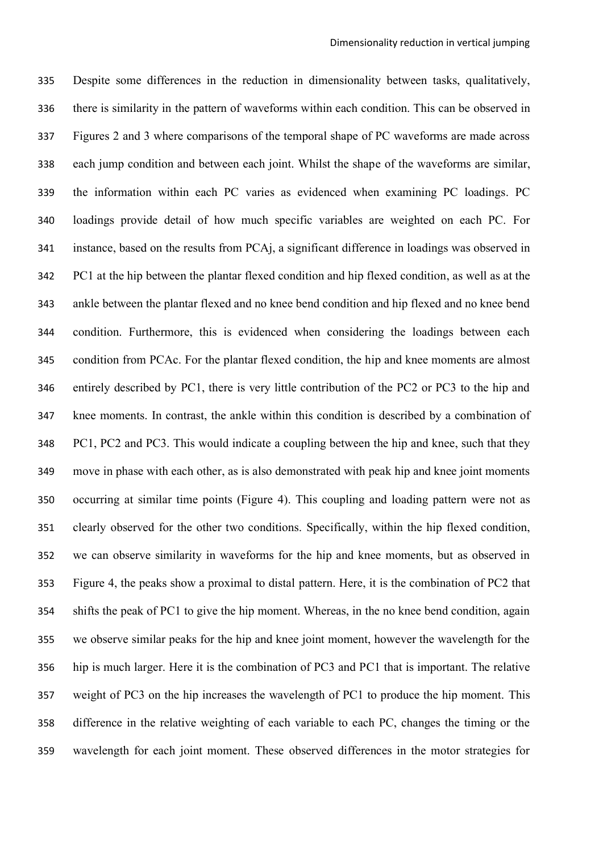Despite some differences in the reduction in dimensionality between tasks, qualitatively, there is similarity in the pattern of waveforms within each condition. This can be observed in Figures 2 and 3 where comparisons of the temporal shape of PC waveforms are made across each jump condition and between each joint. Whilst the shape of the waveforms are similar, the information within each PC varies as evidenced when examining PC loadings. PC loadings provide detail of how much specific variables are weighted on each PC. For instance, based on the results from PCAj, a significant difference in loadings was observed in PC1 at the hip between the plantar flexed condition and hip flexed condition, as well as at the ankle between the plantar flexed and no knee bend condition and hip flexed and no knee bend condition. Furthermore, this is evidenced when considering the loadings between each condition from PCAc. For the plantar flexed condition, the hip and knee moments are almost entirely described by PC1, there is very little contribution of the PC2 or PC3 to the hip and knee moments. In contrast, the ankle within this condition is described by a combination of PC1, PC2 and PC3. This would indicate a coupling between the hip and knee, such that they move in phase with each other, as is also demonstrated with peak hip and knee joint moments occurring at similar time points (Figure 4). This coupling and loading pattern were not as clearly observed for the other two conditions. Specifically, within the hip flexed condition, we can observe similarity in waveforms for the hip and knee moments, but as observed in Figure 4, the peaks show a proximal to distal pattern. Here, it is the combination of PC2 that shifts the peak of PC1 to give the hip moment. Whereas, in the no knee bend condition, again we observe similar peaks for the hip and knee joint moment, however the wavelength for the hip is much larger. Here it is the combination of PC3 and PC1 that is important. The relative weight of PC3 on the hip increases the wavelength of PC1 to produce the hip moment. This difference in the relative weighting of each variable to each PC, changes the timing or the wavelength for each joint moment. These observed differences in the motor strategies for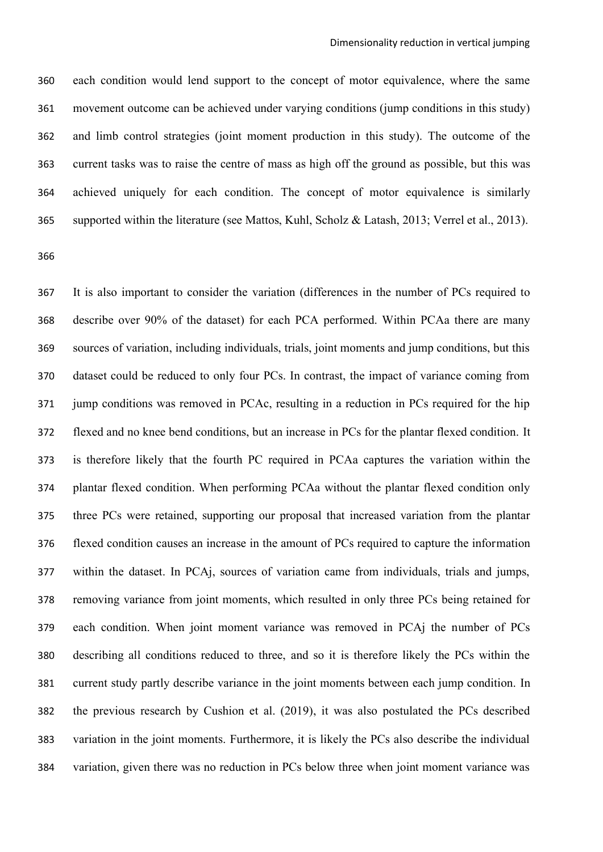each condition would lend support to the concept of motor equivalence, where the same movement outcome can be achieved under varying conditions (jump conditions in this study) and limb control strategies (joint moment production in this study). The outcome of the current tasks was to raise the centre of mass as high off the ground as possible, but this was achieved uniquely for each condition. The concept of motor equivalence is similarly supported within the literature (see Mattos, Kuhl, Scholz & Latash, 2013; Verrel et al., 2013).

 It is also important to consider the variation (differences in the number of PCs required to describe over 90% of the dataset) for each PCA performed. Within PCAa there are many sources of variation, including individuals, trials, joint moments and jump conditions, but this dataset could be reduced to only four PCs. In contrast, the impact of variance coming from jump conditions was removed in PCAc, resulting in a reduction in PCs required for the hip flexed and no knee bend conditions, but an increase in PCs for the plantar flexed condition. It is therefore likely that the fourth PC required in PCAa captures the variation within the plantar flexed condition. When performing PCAa without the plantar flexed condition only three PCs were retained, supporting our proposal that increased variation from the plantar flexed condition causes an increase in the amount of PCs required to capture the information within the dataset. In PCAj, sources of variation came from individuals, trials and jumps, removing variance from joint moments, which resulted in only three PCs being retained for each condition. When joint moment variance was removed in PCAj the number of PCs describing all conditions reduced to three, and so it is therefore likely the PCs within the current study partly describe variance in the joint moments between each jump condition. In the previous research by Cushion et al. (2019), it was also postulated the PCs described variation in the joint moments. Furthermore, it is likely the PCs also describe the individual variation, given there was no reduction in PCs below three when joint moment variance was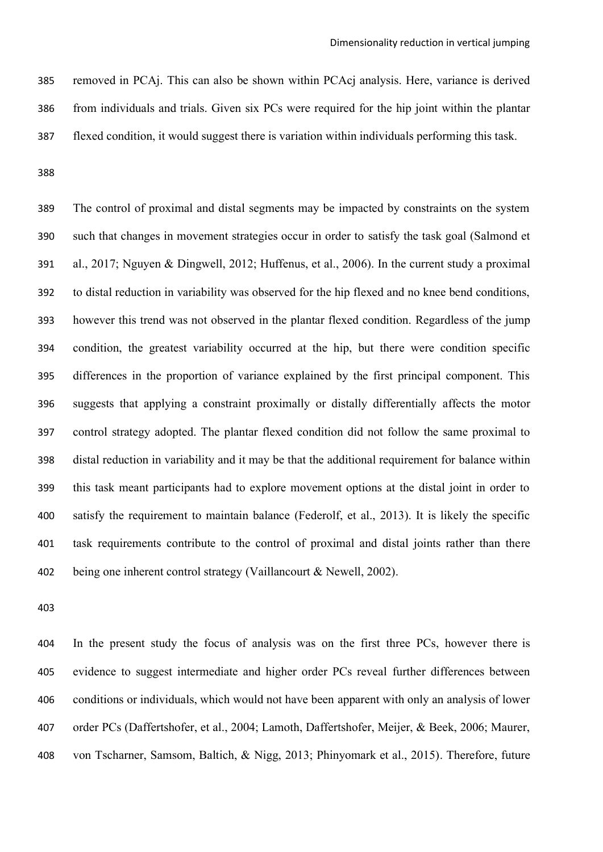removed in PCAj. This can also be shown within PCAcj analysis. Here, variance is derived from individuals and trials. Given six PCs were required for the hip joint within the plantar flexed condition, it would suggest there is variation within individuals performing this task.

 The control of proximal and distal segments may be impacted by constraints on the system such that changes in movement strategies occur in order to satisfy the task goal (Salmond et al., 2017; Nguyen & Dingwell, 2012; Huffenus, et al., 2006). In the current study a proximal to distal reduction in variability was observed for the hip flexed and no knee bend conditions, however this trend was not observed in the plantar flexed condition. Regardless of the jump condition, the greatest variability occurred at the hip, but there were condition specific differences in the proportion of variance explained by the first principal component. This suggests that applying a constraint proximally or distally differentially affects the motor control strategy adopted. The plantar flexed condition did not follow the same proximal to distal reduction in variability and it may be that the additional requirement for balance within this task meant participants had to explore movement options at the distal joint in order to satisfy the requirement to maintain balance (Federolf, et al., 2013). It is likely the specific task requirements contribute to the control of proximal and distal joints rather than there 402 being one inherent control strategy (Vaillancourt & Newell, 2002).

 In the present study the focus of analysis was on the first three PCs, however there is evidence to suggest intermediate and higher order PCs reveal further differences between conditions or individuals, which would not have been apparent with only an analysis of lower order PCs (Daffertshofer, et al., 2004; Lamoth, Daffertshofer, Meijer, & Beek, 2006; Maurer, von Tscharner, Samsom, Baltich, & Nigg, 2013; Phinyomark et al., 2015). Therefore, future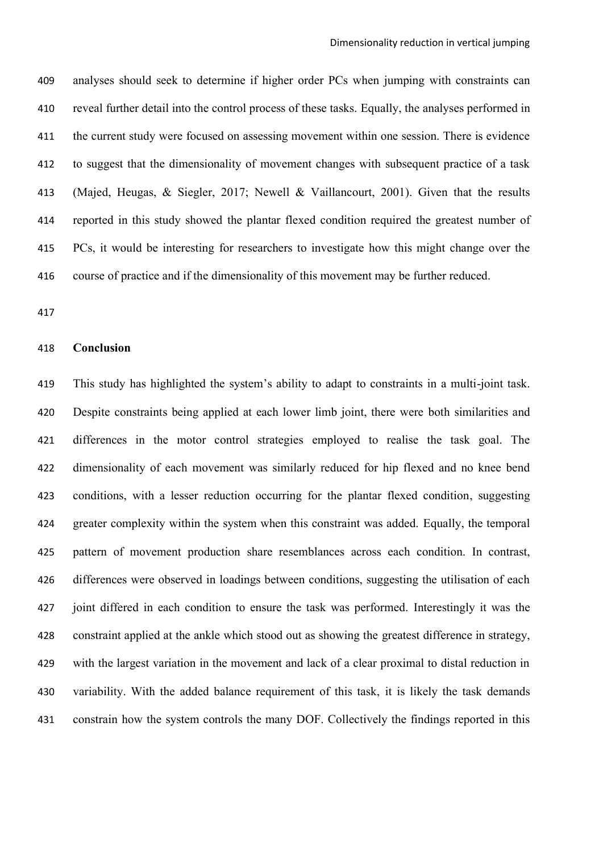analyses should seek to determine if higher order PCs when jumping with constraints can reveal further detail into the control process of these tasks. Equally, the analyses performed in 411 the current study were focused on assessing movement within one session. There is evidence to suggest that the dimensionality of movement changes with subsequent practice of a task (Majed, Heugas, & Siegler, 2017; Newell & Vaillancourt, 2001). Given that the results reported in this study showed the plantar flexed condition required the greatest number of PCs, it would be interesting for researchers to investigate how this might change over the course of practice and if the dimensionality of this movement may be further reduced.

#### **Conclusion**

 This study has highlighted the system's ability to adapt to constraints in a multi-joint task. Despite constraints being applied at each lower limb joint, there were both similarities and differences in the motor control strategies employed to realise the task goal. The dimensionality of each movement was similarly reduced for hip flexed and no knee bend conditions, with a lesser reduction occurring for the plantar flexed condition, suggesting greater complexity within the system when this constraint was added. Equally, the temporal pattern of movement production share resemblances across each condition. In contrast, differences were observed in loadings between conditions, suggesting the utilisation of each joint differed in each condition to ensure the task was performed. Interestingly it was the constraint applied at the ankle which stood out as showing the greatest difference in strategy, with the largest variation in the movement and lack of a clear proximal to distal reduction in variability. With the added balance requirement of this task, it is likely the task demands constrain how the system controls the many DOF. Collectively the findings reported in this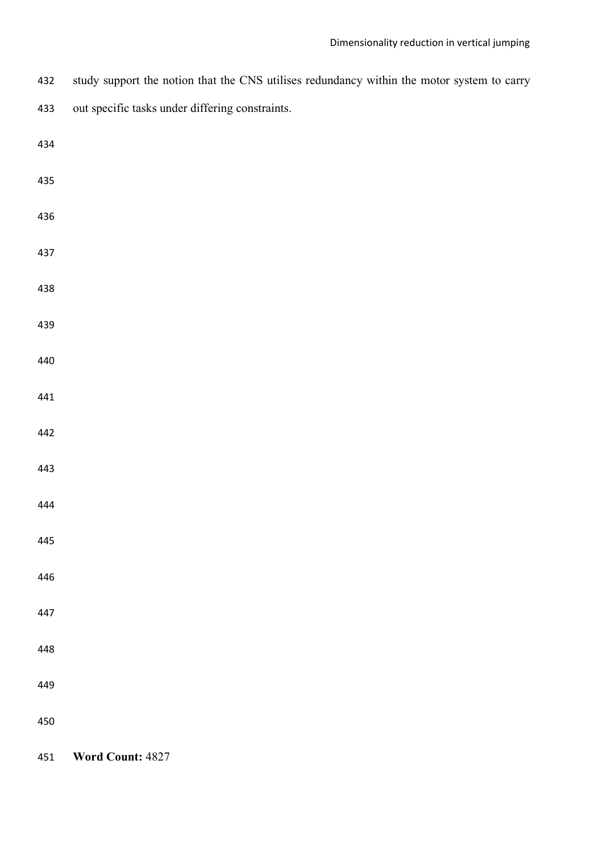- study support the notion that the CNS utilises redundancy within the motor system to carry
- out specific tasks under differing constraints.

| 434 |  |  |  |
|-----|--|--|--|
| 435 |  |  |  |
| 436 |  |  |  |
| 437 |  |  |  |
| 438 |  |  |  |
| 439 |  |  |  |
| 440 |  |  |  |
| 441 |  |  |  |
| 442 |  |  |  |
| 443 |  |  |  |
| 444 |  |  |  |
| 445 |  |  |  |
| 446 |  |  |  |
| 447 |  |  |  |
| 448 |  |  |  |
| 449 |  |  |  |
| 450 |  |  |  |
|     |  |  |  |

**Word Count:** 4827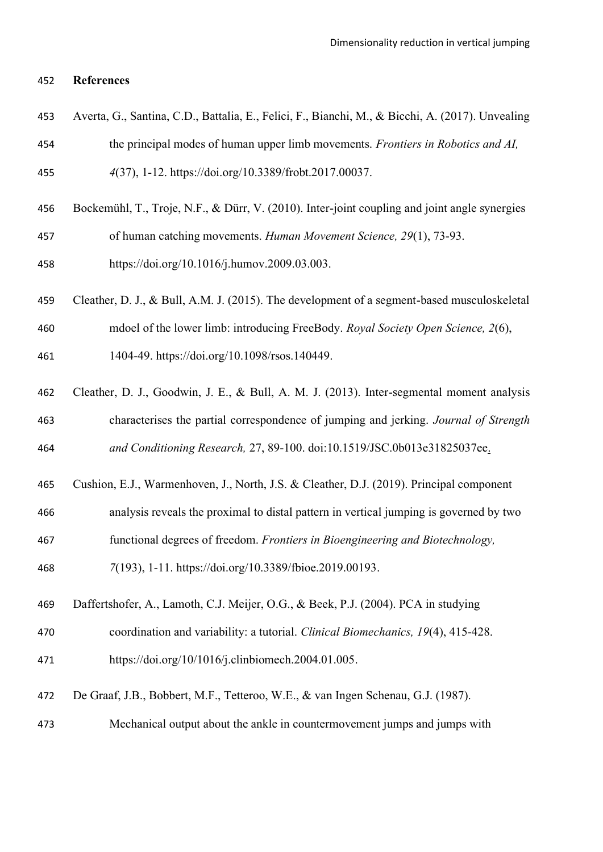### **References**

| 453 | Averta, G., Santina, C.D., Battalia, E., Felici, F., Bianchi, M., & Bicchi, A. (2017). Unvealing |
|-----|--------------------------------------------------------------------------------------------------|
| 454 | the principal modes of human upper limb movements. <i>Frontiers in Robotics and AI</i> ,         |
| 455 | $4(37)$ , 1-12. https://doi.org/10.3389/frobt.2017.00037.                                        |

Bockemühl, T., Troje, N.F., & Dürr, V. (2010). Inter-joint coupling and joint angle synergies

 of human catching movements. *Human Movement Science, 29*(1), 73-93. [https://doi.org/10.1016/j.humov.2009.03.003.](https://doi.org/10.1016/j.humov.2009.03.003)

- Cleather, D. J., & Bull, A.M. J. (2015). The development of a segment-based musculoskeletal mdoel of the lower limb: introducing FreeBody. *Royal Society Open Science, 2*(6),
- 1404-49. [https://doi.org/10.1098/rsos.140449.](https://doi.org/10.1098/rsos.140449)
- Cleather, D. J., Goodwin, J. E., & Bull, A. M. J. (2013). Inter-segmental moment analysis characterises the partial correspondence of jumping and jerking. *Journal of Strength and Conditioning Research,* 27, 89-100. doi[:10.1519/JSC.0b013e31825037ee.](https://dx.doi.org/10.1519%2FJSC.0b013e31825037ee)
- Cushion, E.J., Warmenhoven, J., North, J.S. & Cleather, D.J. (2019). Principal component analysis reveals the proximal to distal pattern in vertical jumping is governed by two
- functional degrees of freedom. *Frontiers in Bioengineering and Biotechnology,*
- *7*(193), 1-11. [https://doi.org/10.3389/fbioe.2019.00193.](https://doi.org/10.3389/fbioe.2019.00193)
- Daffertshofer, A., Lamoth, C.J. Meijer, O.G., & Beek, P.J. (2004). PCA in studying
- coordination and variability: a tutorial. *Clinical Biomechanics, 19*(4), 415-428. [https://doi.org/10/1016/j.clinbiomech.2004.01.005.](https://doi.org/10/1016/j.clinbiomech.2004.01.005)
- De Graaf, J.B., Bobbert, M.F., Tetteroo, W.E., & van Ingen Schenau, G.J. (1987).
- Mechanical output about the ankle in countermovement jumps and jumps with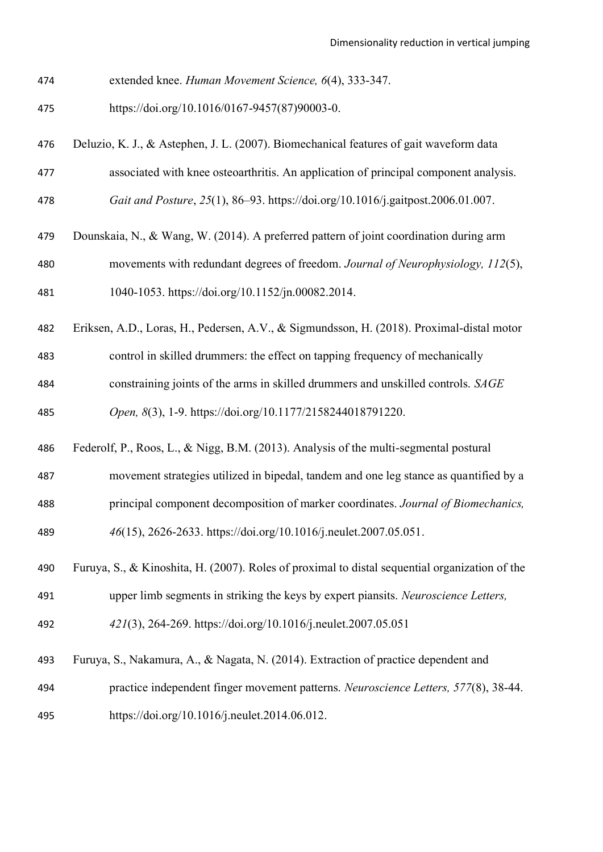extended knee. *Human Movement Science, 6*(4), 333-347.

- [https://doi.org/10.1016/0167-9457\(87\)90003-0.](https://doi.org/10.1016/0167-9457(87)90003-0)
- Deluzio, K. J., & Astephen, J. L. (2007). Biomechanical features of gait waveform data associated with knee osteoarthritis. An application of principal component analysis.
- *Gait and Posture*, *25*(1), 86–93. [https://doi.org/10.1016/j.gaitpost.2006.01.007.](https://doi.org/10.1016/j.gaitpost.2006.01.007)
- Dounskaia, N., & Wang, W. (2014). A preferred pattern of joint coordination during arm movements with redundant degrees of freedom. *Journal of Neurophysiology, 112*(5), 1040-1053. [https://doi.org/10.1152/jn.00082.2014.](https://doi.org/10.1152/jn.00082.2014)
- Eriksen, A.D., Loras, H., Pedersen, A.V., & Sigmundsson, H. (2018). Proximal-distal motor
- control in skilled drummers: the effect on tapping frequency of mechanically
- constraining joints of the arms in skilled drummers and unskilled controls. *SAGE*

*Open, 8*(3), 1-9. [https://doi.org/10.1177/2158244018791220.](https://doi.org/10.1177/2158244018791220)

- Federolf, P., Roos, L., & Nigg, B.M. (2013). Analysis of the multi-segmental postural
- movement strategies utilized in bipedal, tandem and one leg stance as quantified by a
- principal component decomposition of marker coordinates. *Journal of Biomechanics,*

*46*(15), 2626-2633. [https://doi.org/10.1016/j.neulet.2007.05.051.](https://doi.org/10.1016/j.neulet.2007.05.051)

- Furuya, S., & Kinoshita, H. (2007). Roles of proximal to distal sequential organization of the upper limb segments in striking the keys by expert piansits. *Neuroscience Letters,*
- *421*(3), 264-269.<https://doi.org/10.1016/j.neulet.2007.05.051>
- Furuya, S., Nakamura, A., & Nagata, N. (2014). Extraction of practice dependent and practice independent finger movement patterns. *Neuroscience Letters, 577*(8), 38-44.
- [https://doi.org/10.1016/j.neulet.2014.06.012.](https://doi.org/10.1016/j.neulet.2014.06.012)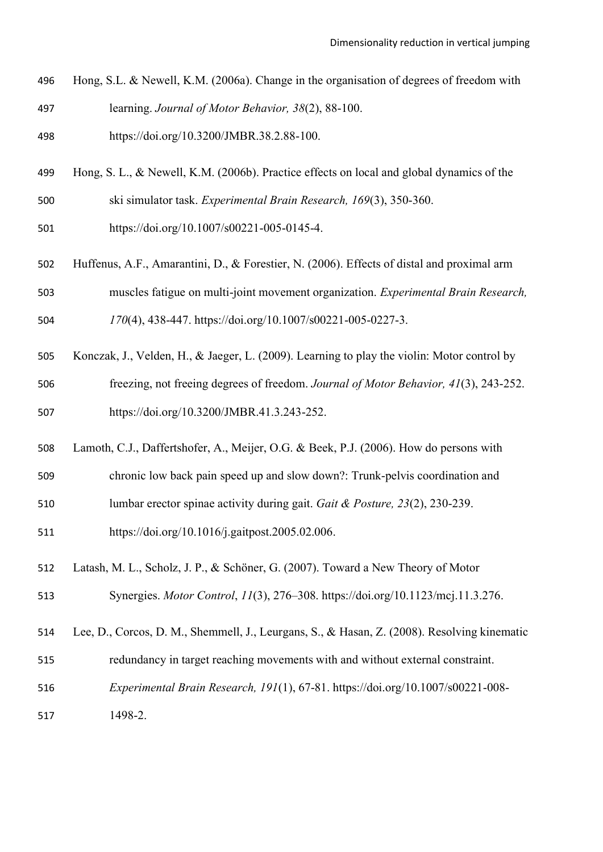- Hong, S.L. & Newell, K.M. (2006a). Change in the organisation of degrees of freedom with learning. *Journal of Motor Behavior, 38*(2), 88-100.
- [https://doi.org/10.3200/JMBR.38.2.88-100.](https://doi.org/10.3200/JMBR.38.2.88-100)
- Hong, S. L., & Newell, K.M. (2006b). Practice effects on local and global dynamics of the ski simulator task. *Experimental Brain Research, 169*(3), 350-360.
- [https://doi.org/10.1007/s00221-005-0145-4.](https://doi.org/10.1007/s00221-005-0145-4)
- Huffenus, A.F., Amarantini, D., & Forestier, N. (2006). Effects of distal and proximal arm muscles fatigue on multi-joint movement organization. *Experimental Brain Research, 170*(4), 438-447. [https://doi.org/10.1007/s00221-005-0227-3.](https://doi.org/10.1007/s00221-005-0227-3)
- Konczak, J., Velden, H., & Jaeger, L. (2009). Learning to play the violin: Motor control by freezing, not freeing degrees of freedom. *Journal of Motor Behavior, 41*(3), 243-252. [https://doi.org/10.3200/JMBR.41.3.243-252.](https://doi.org/10.3200/JMBR.41.3.243-252)
- Lamoth, C.J., Daffertshofer, A., Meijer, O.G. & Beek, P.J. (2006). How do persons with chronic low back pain speed up and slow down?: Trunk-pelvis coordination and
- lumbar erector spinae activity during gait. *Gait & Posture, 23*(2), 230-239.
- [https://doi.org/10.1016/j.gaitpost.2005.02.006.](https://doi.org/10.1016/j.gaitpost.2005.02.006)
- Latash, M. L., Scholz, J. P., & Schöner, G. (2007). Toward a New Theory of Motor Synergies. *Motor Control*, *11*(3), 276–308. [https://doi.org/10.1123/mcj.11.3.276.](https://doi.org/10.1123/mcj.11.3.276)
- Lee, D., Corcos, D. M., Shemmell, J., Leurgans, S., & Hasan, Z. (2008). Resolving kinematic
- redundancy in target reaching movements with and without external constraint.
- *Experimental Brain Research, 191*(1), 67-81. [https://doi.org/10.1007/s00221-008-](https://doi.org/10.1007/s00221-008-1498-2)
- [1498-2.](https://doi.org/10.1007/s00221-008-1498-2)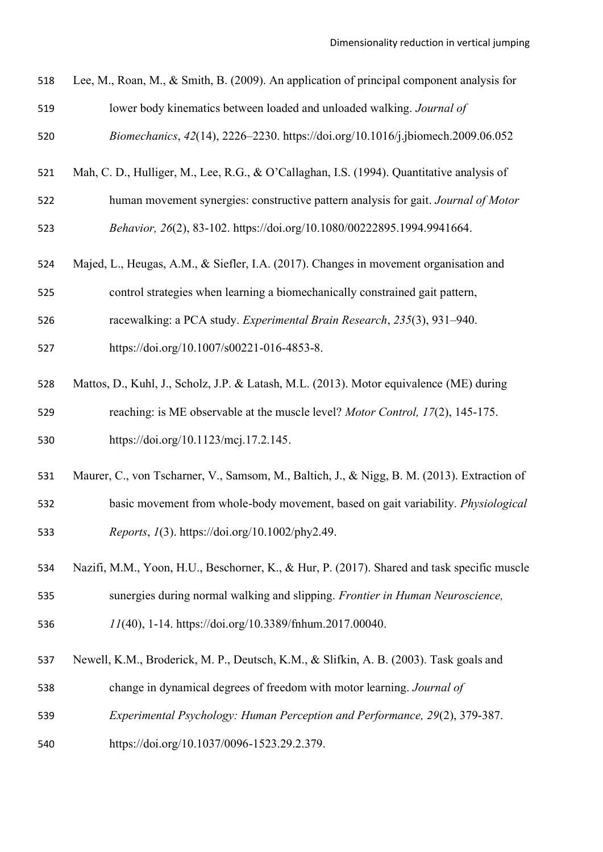| 518 | Lee, M., Roan, M., & Smith, B. (2009). An application of principal component analysis for   |
|-----|---------------------------------------------------------------------------------------------|
| 519 | lower body kinematics between loaded and unloaded walking. Journal of                       |
| 520 | Biomechanics, 42(14), 2226-2230. https://doi.org/10.1016/j.jbiomech.2009.06.052             |
| 521 | Mah, C. D., Hulliger, M., Lee, R.G., & O'Callaghan, I.S. (1994). Quantitative analysis of   |
| 522 | human movement synergies: constructive pattern analysis for gait. Journal of Motor          |
| 523 | Behavior, 26(2), 83-102. https://doi.org/10.1080/00222895.1994.9941664.                     |
| 524 | Majed, L., Heugas, A.M., & Siefler, I.A. (2017). Changes in movement organisation and       |
| 525 | control strategies when learning a biomechanically constrained gait pattern,                |
| 526 | racewalking: a PCA study. Experimental Brain Research, 235(3), 931-940.                     |
| 527 | https://doi.org/10.1007/s00221-016-4853-8.                                                  |
| 528 | Mattos, D., Kuhl, J., Scholz, J.P. & Latash, M.L. (2013). Motor equivalence (ME) during     |
| 529 | reaching: is ME observable at the muscle level? Motor Control, 17(2), 145-175.              |
| 530 | https://doi.org/10.1123/mcj.17.2.145.                                                       |
| 531 | Maurer, C., von Tscharner, V., Samsom, M., Baltich, J., & Nigg, B. M. (2013). Extraction of |
| 532 | basic movement from whole-body movement, based on gait variability. Physiological           |
| 533 | Reports, 1(3). https://doi.org/10.1002/phy2.49.                                             |
| 534 | Nazifi, M.M., Yoon, H.U., Beschorner, K., & Hur, P. (2017). Shared and task specific muscle |
| 535 | sunergies during normal walking and slipping. Frontier in Human Neuroscience,               |
| 536 | 11(40), 1-14. https://doi.org/10.3389/fnhum.2017.00040.                                     |
| 537 | Newell, K.M., Broderick, M. P., Deutsch, K.M., & Slifkin, A. B. (2003). Task goals and      |
| 538 | change in dynamical degrees of freedom with motor learning. Journal of                      |
| 539 | Experimental Psychology: Human Perception and Performance, 29(2), 379-387.                  |
| 540 | https://doi.org/10.1037/0096-1523.29.2.379.                                                 |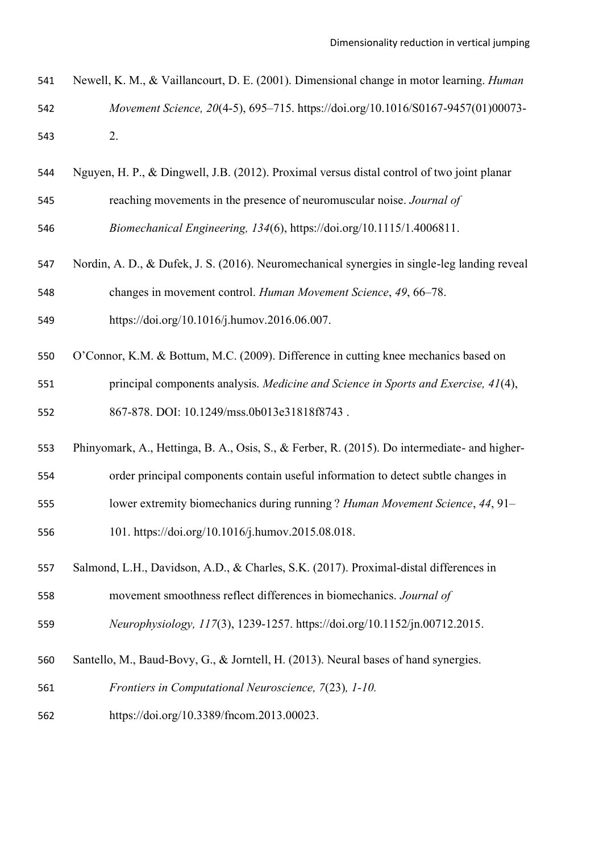- Newell, K. M., & Vaillancourt, D. E. (2001). Dimensional change in motor learning. *Human Movement Science, 20*(4-5), 695–715. [https://doi.org/10.1016/S0167-9457\(01\)00073-](https://doi.org/10.1016/S0167-9457(01)00073-2) [2.](https://doi.org/10.1016/S0167-9457(01)00073-2)
- Nguyen, H. P., & Dingwell, J.B. (2012). Proximal versus distal control of two joint planar
- reaching movements in the presence of neuromuscular noise. *Journal of Biomechanical Engineering, 134*(6), [https://doi.org/10.1115/1.4006811.](https://doi.org/10.1115/1.4006811)
- Nordin, A. D., & Dufek, J. S. (2016). Neuromechanical synergies in single-leg landing reveal changes in movement control. *Human Movement Science*, *49*, 66–78.
- [https://doi.org/10.1016/j.humov.2016.06.007.](https://doi.org/10.1016/j.humov.2016.06.007)
- O'Connor, K.M. & Bottum, M.C. (2009). Difference in cutting knee mechanics based on principal components analysis. *Medicine and Science in Sports and Exercise, 41*(4), 867-878. DOI: [10.1249/mss.0b013e31818f8743](https://doi.org/10.1249/mss.0b013e31818f8743) .
- Phinyomark, A., Hettinga, B. A., Osis, S., & Ferber, R. (2015). Do intermediate- and higher- order principal components contain useful information to detect subtle changes in lower extremity biomechanics during running ? *Human Movement Science*, *44*, 91– 101. [https://doi.org/10.1016/j.humov.2015.08.018.](https://doi.org/10.1016/j.humov.2015.08.018)
- Salmond, L.H., Davidson, A.D., & Charles, S.K. (2017). Proximal-distal differences in
- movement smoothness reflect differences in biomechanics. *Journal of*
- *Neurophysiology, 117*(3), 1239-1257. [https://doi.org/10.1152/jn.00712.2015.](https://doi.org/10.1152/jn.00712.2015)
- Santello, M., Baud-Bovy, G., & Jorntell, H. (2013). Neural bases of hand synergies.
- *Frontiers in Computational Neuroscience, 7*(23)*, 1-10.*
- [https://doi.org/10.3389/fncom.2013.00023.](https://doi.org/10.3389/fncom.2013.00023)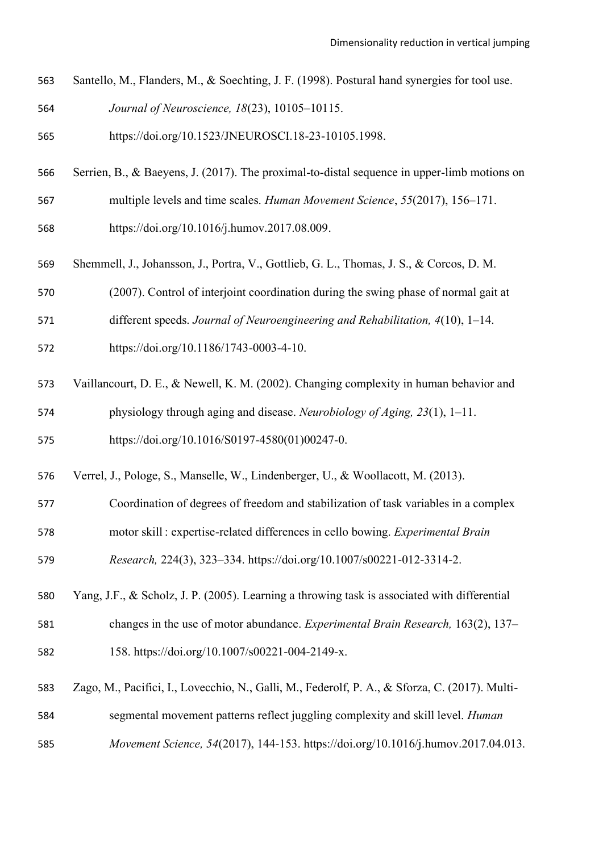- Santello, M., Flanders, M., & Soechting, J. F. (1998). Postural hand synergies for tool use.
- *Journal of Neuroscience, 18*(23), 10105–10115.

[https://doi.org/10.1523/JNEUROSCI.18-23-10105.1998.](https://doi.org/10.1523/JNEUROSCI.18-23-10105.1998)

Serrien, B., & Baeyens, J. (2017). The proximal-to-distal sequence in upper-limb motions on

multiple levels and time scales. *Human Movement Science*, *55*(2017), 156–171.

- [https://doi.org/10.1016/j.humov.2017.08.009.](https://doi.org/10.1016/j.humov.2017.08.009)
- Shemmell, J., Johansson, J., Portra, V., Gottlieb, G. L., Thomas, J. S., & Corcos, D. M.
- (2007). Control of interjoint coordination during the swing phase of normal gait at
- different speeds. *Journal of Neuroengineering and Rehabilitation, 4*(10), 1–14.
- [https://doi.org/10.1186/1743-0003-4-10.](https://doi.org/10.1186/1743-0003-4-10)
- Vaillancourt, D. E., & Newell, K. M. (2002). Changing complexity in human behavior and physiology through aging and disease. *Neurobiology of Aging, 23*(1), 1–11. [https://doi.org/10.1016/S0197-4580\(01\)00247-0.](https://doi.org/10.1016/S0197-4580(01)00247-0)
- Verrel, J., Pologe, S., Manselle, W., Lindenberger, U., & Woollacott, M. (2013).
- Coordination of degrees of freedom and stabilization of task variables in a complex motor skill : expertise-related differences in cello bowing. *Experimental Brain*
- *Research,* 224(3), 323–334. [https://doi.org/10.1007/s00221-012-3314-2.](https://doi.org/10.1007/s00221-012-3314-2)

 Yang, J.F., & Scholz, J. P. (2005). Learning a throwing task is associated with differential changes in the use of motor abundance. *Experimental Brain Research,* 163(2), 137–

- 158. [https://doi.org/10.1007/s00221-004-2149-x.](https://doi.org/10.1007/s00221-004-2149-x)
- Zago, M., Pacifici, I., Lovecchio, N., Galli, M., Federolf, P. A., & Sforza, C. (2017). Multi- segmental movement patterns reflect juggling complexity and skill level. *Human Movement Science, 54*(2017), 144-153. https://doi.org/10.1016/j.humov.2017.04.013.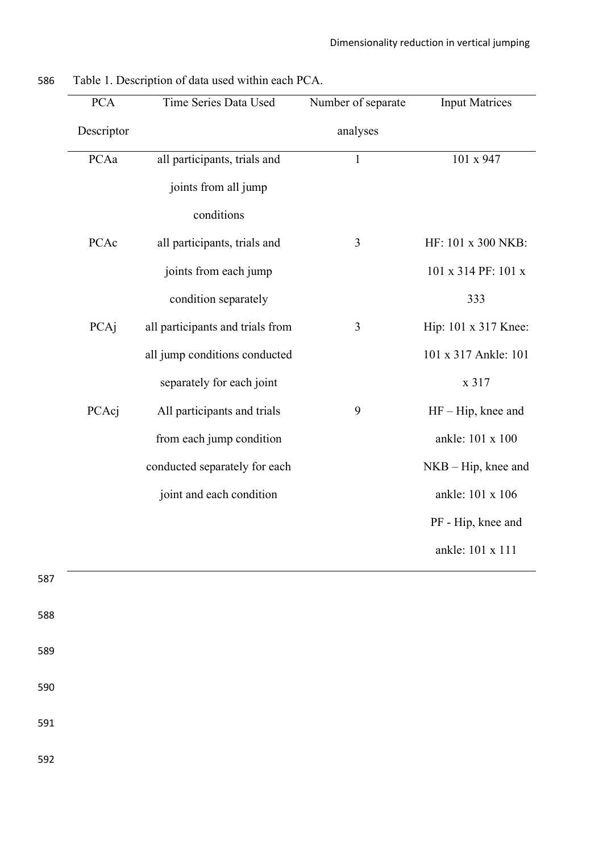| <b>PCA</b> | Time Series Data Used            | Number of separate | <b>Input Matrices</b>  |
|------------|----------------------------------|--------------------|------------------------|
| Descriptor |                                  | analyses           |                        |
| PCAa       | all participants, trials and     | $\mathbf{1}$       | 101 x 947              |
|            | joints from all jump             |                    |                        |
|            | conditions                       |                    |                        |
| PCAc       | all participants, trials and     | 3                  | HF: 101 x 300 NKB:     |
|            | joints from each jump            |                    | 101 x 314 PF: 101 x    |
|            | condition separately             |                    | 333                    |
| PCAj       | all participants and trials from | 3                  | Hip: 101 x 317 Knee:   |
|            | all jump conditions conducted    |                    | 101 x 317 Ankle: 101   |
|            | separately for each joint        |                    | x 317                  |
| PCAcj      | All participants and trials      | 9                  | $HF - Hip$ , knee and  |
|            | from each jump condition         |                    | ankle: 101 x 100       |
|            | conducted separately for each    |                    | $NKB - Hip$ , knee and |
|            | joint and each condition         |                    | ankle: 101 x 106       |
|            |                                  |                    | PF - Hip, knee and     |
|            |                                  |                    | ankle: 101 x 111       |

586 Table 1. Description of data used within each PCA.

| 587 |  |  |
|-----|--|--|
| 588 |  |  |
| 589 |  |  |
| 590 |  |  |
| 591 |  |  |
| 592 |  |  |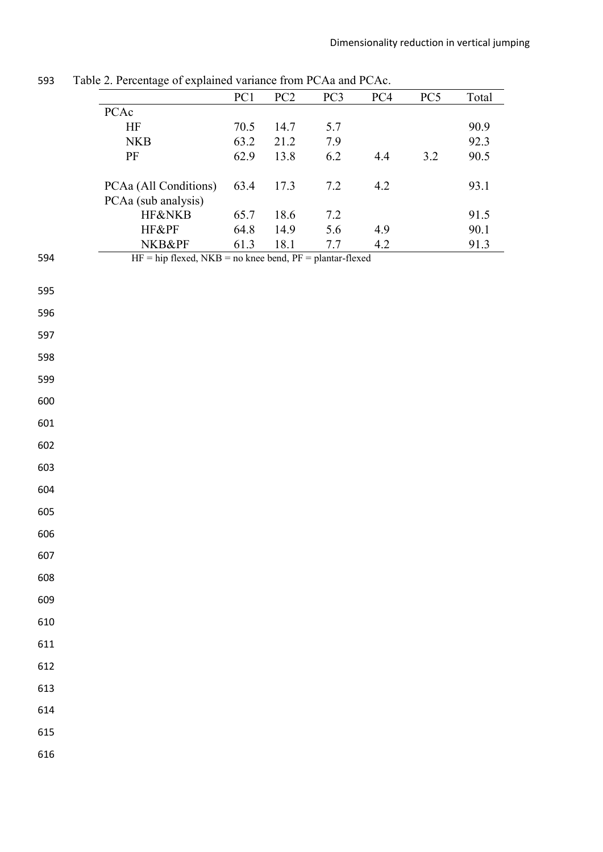|     | ັ<br><b>I</b>                                                   | PC1          | PC2          | PC3        | PC4 | PC5 | Total        |
|-----|-----------------------------------------------------------------|--------------|--------------|------------|-----|-----|--------------|
|     | PCAc                                                            |              |              |            |     |     |              |
|     | $\rm{HF}$                                                       | 70.5         | 14.7         | 5.7        |     |     | 90.9         |
|     | <b>NKB</b><br>$\rm PF$                                          | 63.2<br>62.9 | 21.2<br>13.8 | 7.9<br>6.2 | 4.4 | 3.2 | 92.3<br>90.5 |
|     |                                                                 |              |              |            |     |     |              |
|     | PCAa (All Conditions)                                           | 63.4         | 17.3         | 7.2        | 4.2 |     | 93.1         |
|     | PCAa (sub analysis)                                             |              |              |            |     |     |              |
|     | HF&NKB<br>HF&PF                                                 | 65.7<br>64.8 | 18.6<br>14.9 | 7.2<br>5.6 | 4.9 |     | 91.5<br>90.1 |
|     | <b>NKB&amp;PF</b>                                               | 61.3         | 18.1         | 7.7        | 4.2 |     | 91.3         |
| 594 | $HF = hip$ flexed, $NKB = no$ knee bend, $PF = plantar$ -flexed |              |              |            |     |     |              |
|     |                                                                 |              |              |            |     |     |              |
| 595 |                                                                 |              |              |            |     |     |              |
| 596 |                                                                 |              |              |            |     |     |              |
| 597 |                                                                 |              |              |            |     |     |              |
| 598 |                                                                 |              |              |            |     |     |              |
| 599 |                                                                 |              |              |            |     |     |              |
| 600 |                                                                 |              |              |            |     |     |              |
| 601 |                                                                 |              |              |            |     |     |              |
| 602 |                                                                 |              |              |            |     |     |              |
| 603 |                                                                 |              |              |            |     |     |              |
| 604 |                                                                 |              |              |            |     |     |              |
| 605 |                                                                 |              |              |            |     |     |              |
| 606 |                                                                 |              |              |            |     |     |              |
| 607 |                                                                 |              |              |            |     |     |              |
| 608 |                                                                 |              |              |            |     |     |              |
| 609 |                                                                 |              |              |            |     |     |              |
| 610 |                                                                 |              |              |            |     |     |              |
| 611 |                                                                 |              |              |            |     |     |              |
| 612 |                                                                 |              |              |            |     |     |              |
| 613 |                                                                 |              |              |            |     |     |              |
| 614 |                                                                 |              |              |            |     |     |              |
| 615 |                                                                 |              |              |            |     |     |              |
| 616 |                                                                 |              |              |            |     |     |              |

Table 2. Percentage of explained variance from PCAa and PCAc.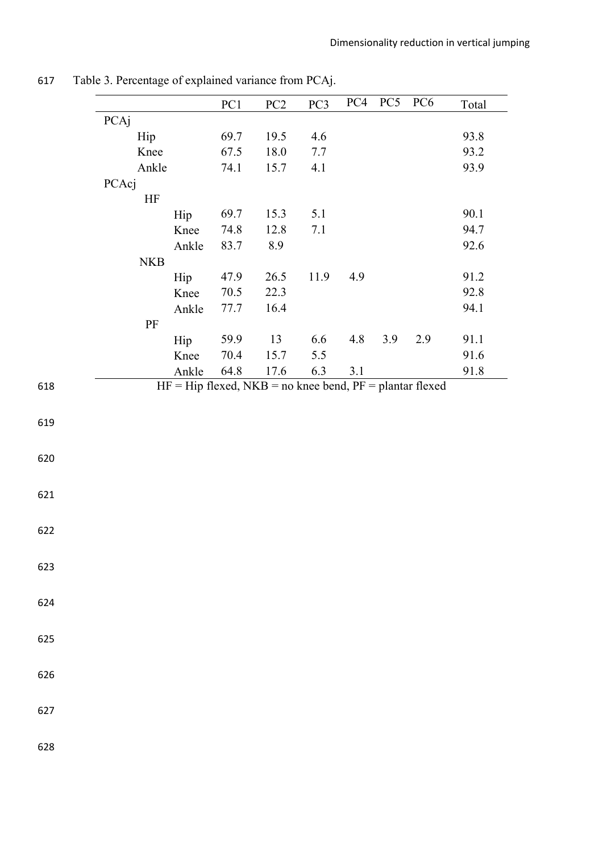|            |       | PC1  | PC2  | PC3     | PC4 | PC5 | PC <sub>6</sub> | Total |
|------------|-------|------|------|---------|-----|-----|-----------------|-------|
| PCAj       |       |      |      |         |     |     |                 |       |
| Hip        |       | 69.7 | 19.5 | 4.6     |     |     |                 | 93.8  |
| Knee       |       | 67.5 | 18.0 | 7.7     |     |     |                 | 93.2  |
| Ankle      |       | 74.1 | 15.7 | 4.1     |     |     |                 | 93.9  |
| PCAcj      |       |      |      |         |     |     |                 |       |
| $\rm{HF}$  |       |      |      |         |     |     |                 |       |
|            | Hip   | 69.7 | 15.3 | 5.1     |     |     |                 | 90.1  |
|            | Knee  | 74.8 | 12.8 | $7.1\,$ |     |     |                 | 94.7  |
|            | Ankle | 83.7 | 8.9  |         |     |     |                 | 92.6  |
| <b>NKB</b> |       |      |      |         |     |     |                 |       |
|            | Hip   | 47.9 | 26.5 | 11.9    | 4.9 |     |                 | 91.2  |
|            | Knee  | 70.5 | 22.3 |         |     |     |                 | 92.8  |
|            | Ankle | 77.7 | 16.4 |         |     |     |                 | 94.1  |
| PF         |       |      |      |         |     |     |                 |       |
|            | Hip   | 59.9 | 13   | 6.6     | 4.8 | 3.9 | 2.9             | 91.1  |
|            | Knee  | 70.4 | 15.7 | 5.5     |     |     |                 | 91.6  |
|            | Ankle | 64.8 | 17.6 | 6.3     | 3.1 |     |                 | 91.8  |
|            |       |      |      |         |     |     |                 |       |
|            |       |      |      |         |     |     |                 |       |
|            |       |      |      |         |     |     |                 |       |
|            |       |      |      |         |     |     |                 |       |
|            |       |      |      |         |     |     |                 |       |
|            |       |      |      |         |     |     |                 |       |
|            |       |      |      |         |     |     |                 |       |
|            |       |      |      |         |     |     |                 |       |
|            |       |      |      |         |     |     |                 |       |

617 Table 3. Percentage of explained variance from PCAj.

619

620

621

622

623

624

625

626

627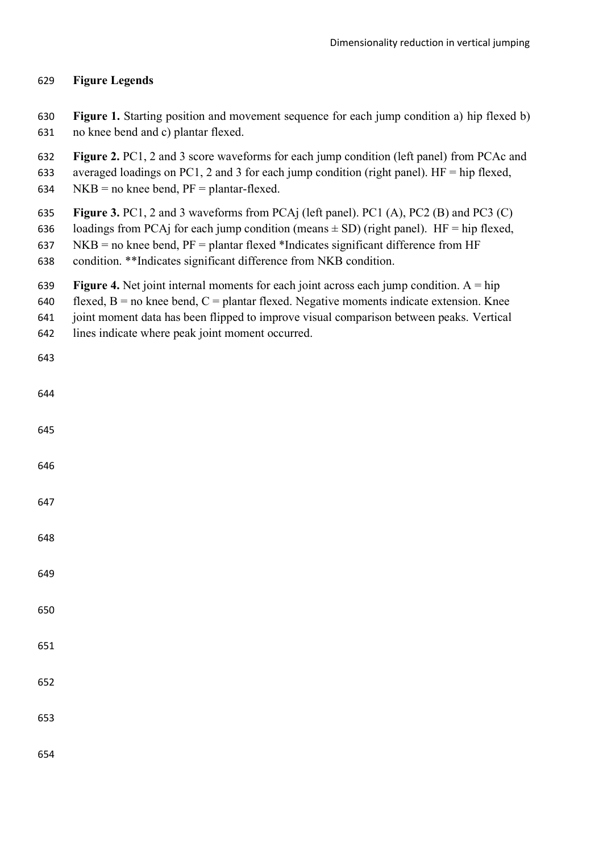# **Figure Legends**

 **Figure 1.** Starting position and movement sequence for each jump condition a) hip flexed b) no knee bend and c) plantar flexed.

**Figure 2.** PC1, 2 and 3 score waveforms for each jump condition (left panel) from PCAc and

633 averaged loadings on PC1, 2 and 3 for each jump condition (right panel).  $HF = hip$  flexed, 634 NKB = no knee bend,  $PF =$  plantar-flexed.

**Figure 3.** PC1, 2 and 3 waveforms from PCAj (left panel). PC1 (A), PC2 (B) and PC3 (C)

- 636 loadings from PCAj for each jump condition (means  $\pm$  SD) (right panel). HF = hip flexed,
- 637 NKB = no knee bend,  $PF =$  plantar flexed \*Indicates significant difference from HF
- condition. \*\*Indicates significant difference from NKB condition.
- **Figure 4.** Net joint internal moments for each joint across each jump condition.  $A = hip$
- 640 flexed,  $B = no$  knee bend,  $C = planar$  flexed. Negative moments indicate extension. Knee
- joint moment data has been flipped to improve visual comparison between peaks. Vertical
- lines indicate where peak joint moment occurred.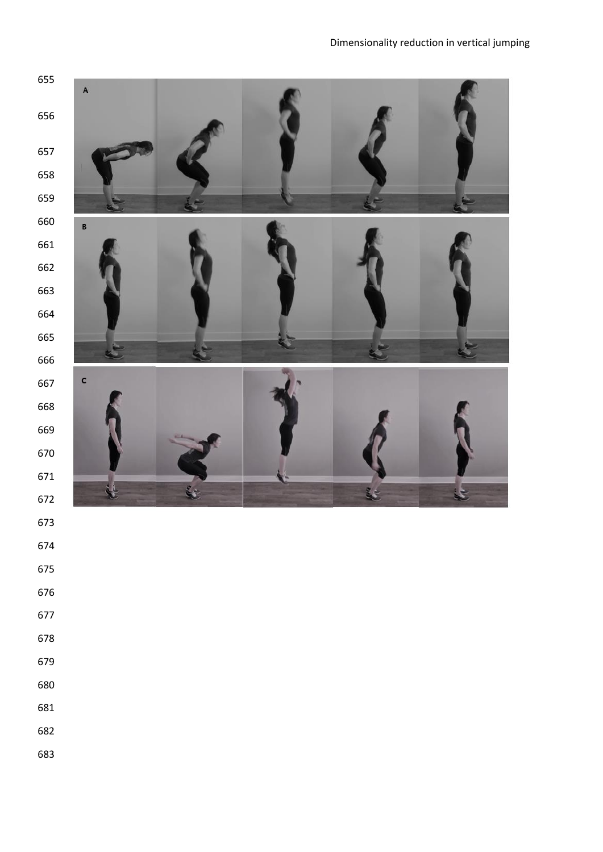

- 
- 
- 
- 
- 
- 
- 
-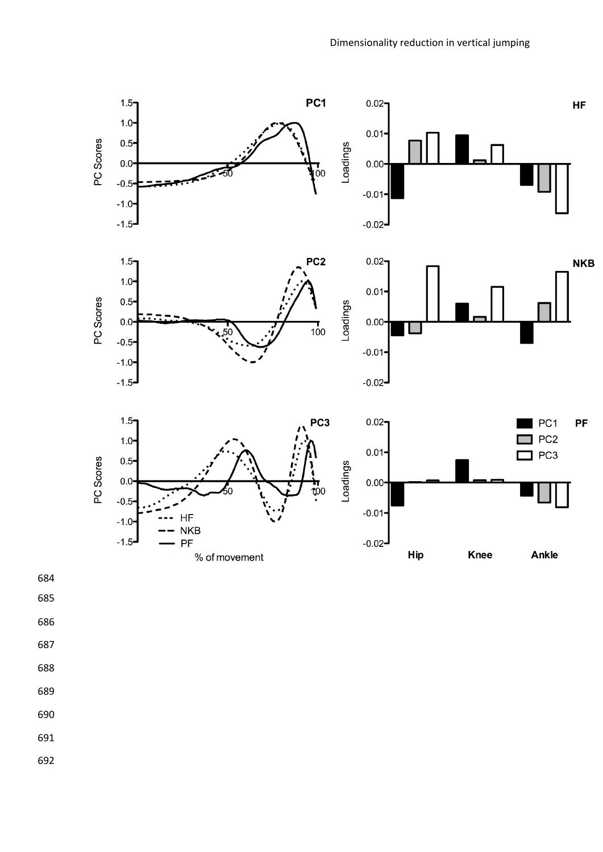



- 
- 
- 
- 
- 
- 
- 
- 
-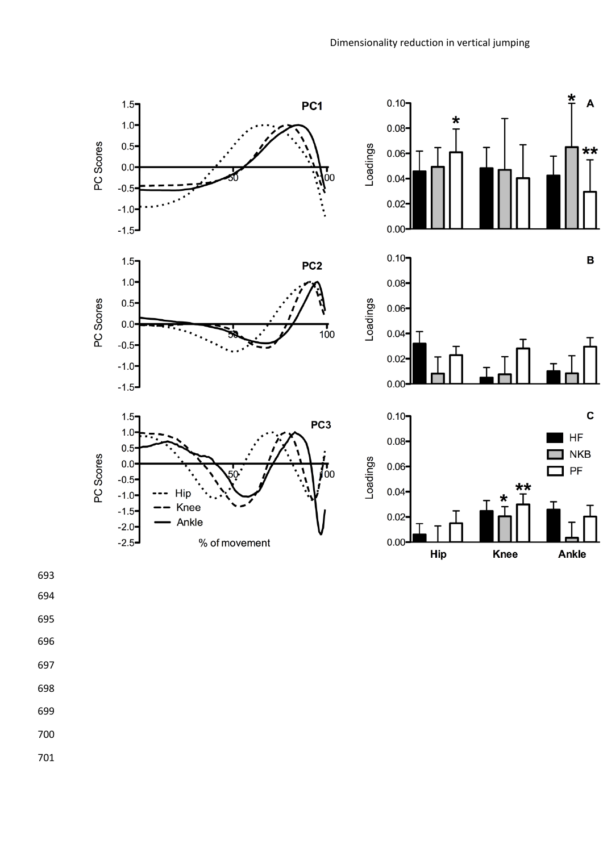# Dimensionality reduction in vertical jumping



- 
- 
- 
- 
- 
- 
- 
- 
-